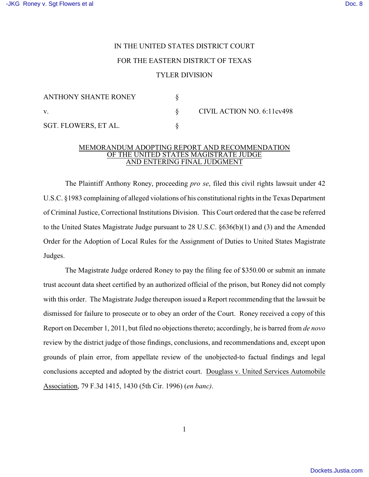## IN THE UNITED STATES DISTRICT COURT FOR THE EASTERN DISTRICT OF TEXAS TYLER DIVISION

| <b>ANTHONY SHANTE RONEY</b> |  | CIVIL ACTION NO. 6:11cv498 |
|-----------------------------|--|----------------------------|
|                             |  |                            |
| SGT. FLOWERS, ET AL.        |  |                            |

## MEMORANDUM ADOPTING REPORT AND RECOMMENDATION OF THE UNITED STATES MAGISTRATE JUDGE AND ENTERING FINAL JUDGMENT

The Plaintiff Anthony Roney, proceeding *pro se*, filed this civil rights lawsuit under 42 U.S.C. §1983 complaining of alleged violations of his constitutional rights in the Texas Department of Criminal Justice, Correctional Institutions Division. This Court ordered that the case be referred to the United States Magistrate Judge pursuant to 28 U.S.C. §636(b)(1) and (3) and the Amended Order for the Adoption of Local Rules for the Assignment of Duties to United States Magistrate Judges.

The Magistrate Judge ordered Roney to pay the filing fee of \$350.00 or submit an inmate trust account data sheet certified by an authorized official of the prison, but Roney did not comply with this order. The Magistrate Judge thereupon issued a Report recommending that the lawsuit be dismissed for failure to prosecute or to obey an order of the Court. Roney received a copy of this Report on December 1, 2011, but filed no objections thereto; accordingly, he is barred from *de novo* review by the district judge of those findings, conclusions, and recommendations and, except upon grounds of plain error, from appellate review of the unobjected-to factual findings and legal conclusions accepted and adopted by the district court. Douglass v. United Services Automobile Association, 79 F.3d 1415, 1430 (5th Cir. 1996) (*en banc)*.